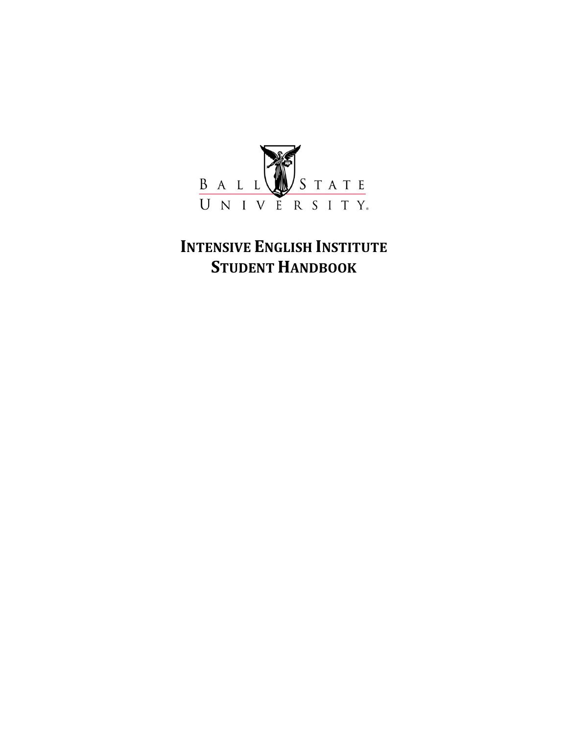

# **INTENSIVE ENGLISH INSTITUTE STUDENT HANDBOOK**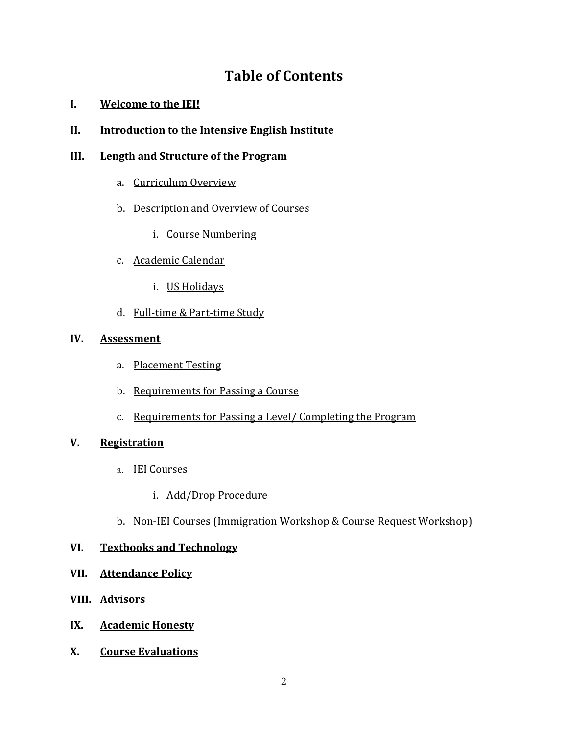# **Table'of'Contents**

### **I. Welcome to the IEI!**

### **II.** Introduction to the Intensive English Institute

### **III.** Length and Structure of the Program

- a. Curriculum Overview
- b. Description and Overview of Courses
	- i. Course Numbering
- c. Academic Calendar
	- i. US Holidays
- d. Full-time & Part-time Study

### **IV. Assessment**

- a. Placement Testing
- b. Requirements for Passing a Course
- c. Requirements for Passing a Level/ Completing the Program

### **V. Registration**

- a. IEI Courses
	- i. Add/Drop Procedure
- b. Non-IEI Courses (Immigration Workshop & Course Request Workshop)

### **VI. Textbooks and Technology**

### **VII. Attendance Policy**

- **VIII. Advisors**
- **IX. Academic Honesty**
- **X.** Course Evaluations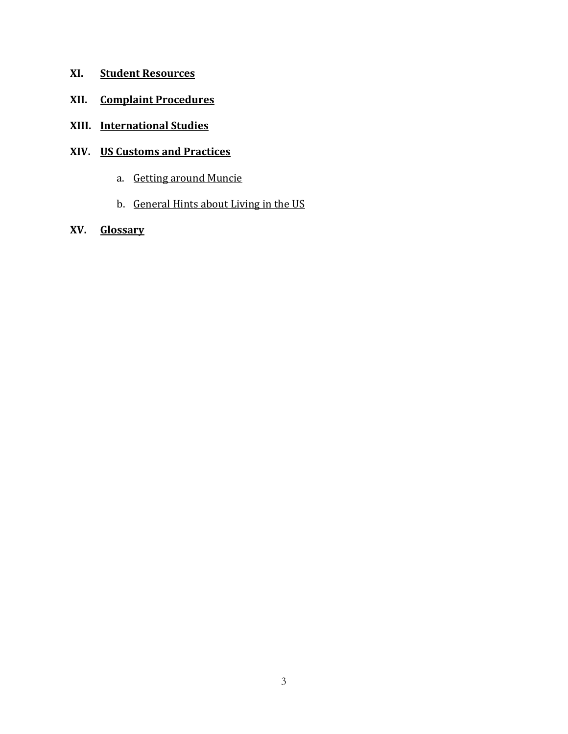- **XI. Student Resources**
- **XII.** Complaint Procedures
- **XIII. International Studies**

### **XIV. US'Customs'and'Practices**

- a. Getting around Muncie
- b. General Hints about Living in the US
- **XV. Glossary**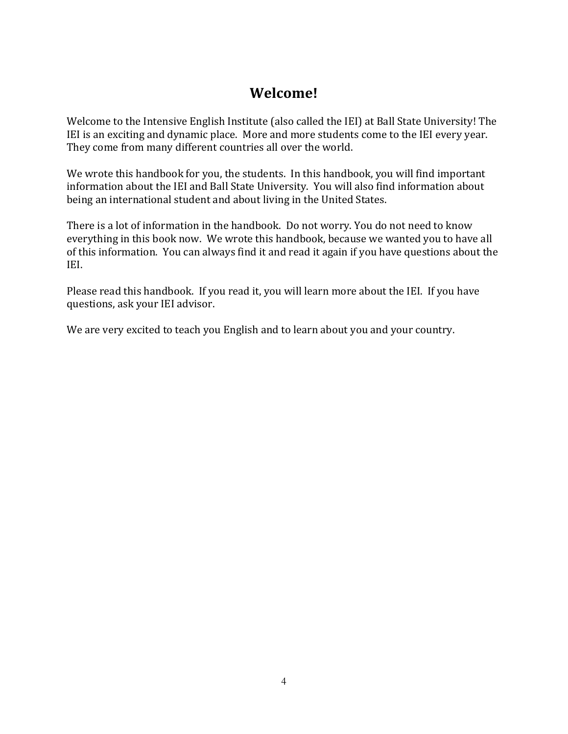# **Welcome!**

Welcome to the Intensive English Institute (also called the IEI) at Ball State University! The IEI is an exciting and dynamic place. More and more students come to the IEI every year. They come from many different countries all over the world.

We wrote this handbook for you, the students. In this handbook, you will find important information about the IEI and Ball State University. You will also find information about being an international student and about living in the United States.

There is a lot of information in the handbook. Do not worry. You do not need to know everything in this book now. We wrote this handbook, because we wanted you to have all of this information. You can always find it and read it again if you have questions about the IEI.

Please read this handbook. If you read it, you will learn more about the IEI. If you have questions, ask your IEI advisor.

We are very excited to teach you English and to learn about you and your country.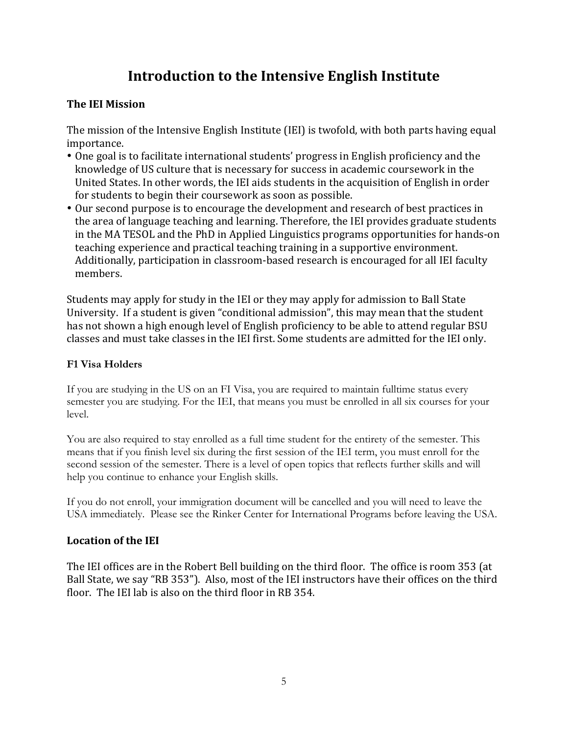# Introduction to the Intensive English Institute

## **The'IEI'Mission'**

The mission of the Intensive English Institute (IEI) is twofold, with both parts having equal importance.

- One goal is to facilitate international students' progress in English proficiency and the knowledge of US culture that is necessary for success in academic coursework in the United States. In other words, the IEI aids students in the acquisition of English in order for students to begin their coursework as soon as possible.
- Our second purpose is to encourage the development and research of best practices in the area of language teaching and learning. Therefore, the IEI provides graduate students in the MA TESOL and the PhD in Applied Linguistics programs opportunities for hands-on teaching experience and practical teaching training in a supportive environment. Additionally, participation in classroom-based research is encouraged for all IEI faculty members.

Students may apply for study in the IEI or they may apply for admission to Ball State University. If a student is given "conditional admission", this may mean that the student has not shown a high enough level of English proficiency to be able to attend regular BSU classes and must take classes in the IEI first. Some students are admitted for the IEI only.

## **F1 Visa Holders**

If you are studying in the US on an FI Visa, you are required to maintain fulltime status every semester you are studying. For the IEI, that means you must be enrolled in all six courses for your level.

You are also required to stay enrolled as a full time student for the entirety of the semester. This means that if you finish level six during the first session of the IEI term, you must enroll for the second session of the semester. There is a level of open topics that reflects further skills and will help you continue to enhance your English skills.

If you do not enroll, your immigration document will be cancelled and you will need to leave the USA immediately. Please see the Rinker Center for International Programs before leaving the USA.

## **Location'of'the'IEI'**

The IEI offices are in the Robert Bell building on the third floor. The office is room 353 (at Ball State, we say "RB 353"). Also, most of the IEI instructors have their offices on the third floor. The IEI lab is also on the third floor in RB 354.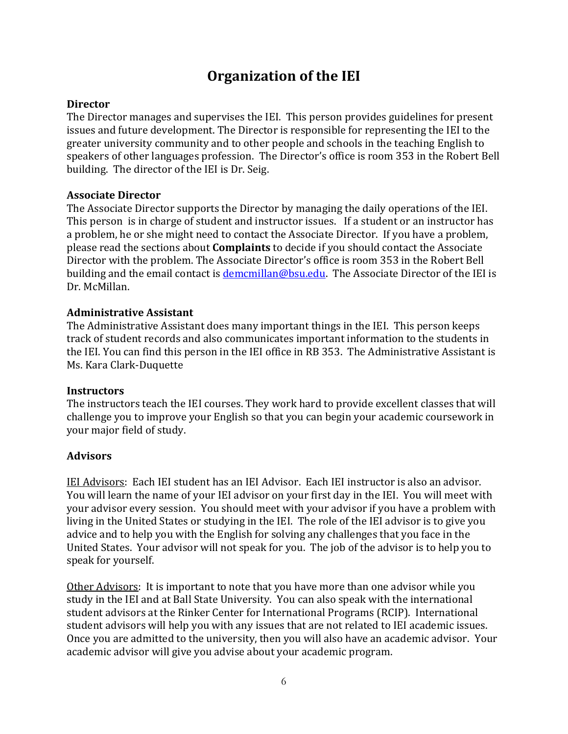# **Organization of the IEI**

### **Director'**

The Director manages and supervises the IEI. This person provides guidelines for present issues and future development. The Director is responsible for representing the IEI to the greater university community and to other people and schools in the teaching English to speakers of other languages profession. The Director's office is room 353 in the Robert Bell building. The director of the IEI is Dr. Seig.

### **Associate'Director'**

The Associate Director supports the Director by managing the daily operations of the IEI. This person is in charge of student and instructor issues. If a student or an instructor has a problem, he or she might need to contact the Associate Director. If you have a problem, please read the sections about **Complaints** to decide if you should contact the Associate Director with the problem. The Associate Director's office is room 353 in the Robert Bell building and the email contact is demcmillan@bsu.edu. The Associate Director of the IEI is Dr. McMillan.

### **Administrative'Assistant**

The Administrative Assistant does many important things in the IEI. This person keeps track of student records and also communicates important information to the students in the IEI. You can find this person in the IEI office in RB 353. The Administrative Assistant is Ms. Kara Clark-Duquette

### **Instructors**

The instructors teach the IEI courses. They work hard to provide excellent classes that will challenge you to improve your English so that you can begin your academic coursework in your major field of study.

### **Advisors**

IEI Advisors: Each IEI student has an IEI Advisor. Each IEI instructor is also an advisor. You will learn the name of your IEI advisor on your first day in the IEI. You will meet with your advisor every session. You should meet with your advisor if you have a problem with living in the United States or studying in the IEI. The role of the IEI advisor is to give you advice and to help you with the English for solving any challenges that you face in the United States. Your advisor will not speak for you. The job of the advisor is to help you to speak for yourself.

Other Advisors: It is important to note that you have more than one advisor while you study in the IEI and at Ball State University. You can also speak with the international student advisors at the Rinker Center for International Programs (RCIP). International student advisors will help you with any issues that are not related to IEI academic issues. Once you are admitted to the university, then you will also have an academic advisor. Your academic advisor will give you advise about your academic program.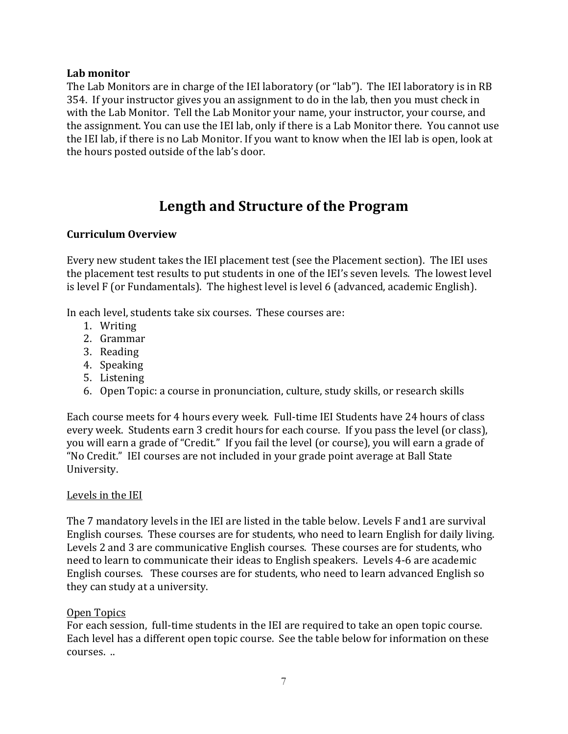### **Lab'monitor**

The Lab Monitors are in charge of the IEI laboratory (or "lab"). The IEI laboratory is in RB 354. If your instructor gives you an assignment to do in the lab, then you must check in with the Lab Monitor. Tell the Lab Monitor your name, your instructor, your course, and the assignment. You can use the IEI lab, only if there is a Lab Monitor there. You cannot use the IEI lab, if there is no Lab Monitor. If you want to know when the IEI lab is open, look at the hours posted outside of the lab's door.

# Length and Structure of the Program

### **Curriculum'Overview'**

Every new student takes the IEI placement test (see the Placement section). The IEI uses the placement test results to put students in one of the IEI's seven levels. The lowest level is level F (or Fundamentals). The highest level is level 6 (advanced, academic English).

In each level, students take six courses. These courses are:

- 1. Writing
- 2. Grammar
- 3. Reading
- 4. Speaking
- 5. Listening
- 6. Open Topic: a course in pronunciation, culture, study skills, or research skills

Each course meets for 4 hours every week. Full-time IEI Students have 24 hours of class every week. Students earn 3 credit hours for each course. If you pass the level (or class), you will earn a grade of "Credit." If you fail the level (or course), you will earn a grade of "No Credit." IEI courses are not included in your grade point average at Ball State University.

#### Levels in the IEI

The 7 mandatory levels in the IEI are listed in the table below. Levels F and 1 are survival English courses. These courses are for students, who need to learn English for daily living. Levels 2 and 3 are communicative English courses. These courses are for students, who need to learn to communicate their ideas to English speakers. Levels 4-6 are academic English courses. These courses are for students, who need to learn advanced English so they can study at a university.

#### Open Topics

For each session, full-time students in the IEI are required to take an open topic course. Each level has a different open topic course. See the table below for information on these courses...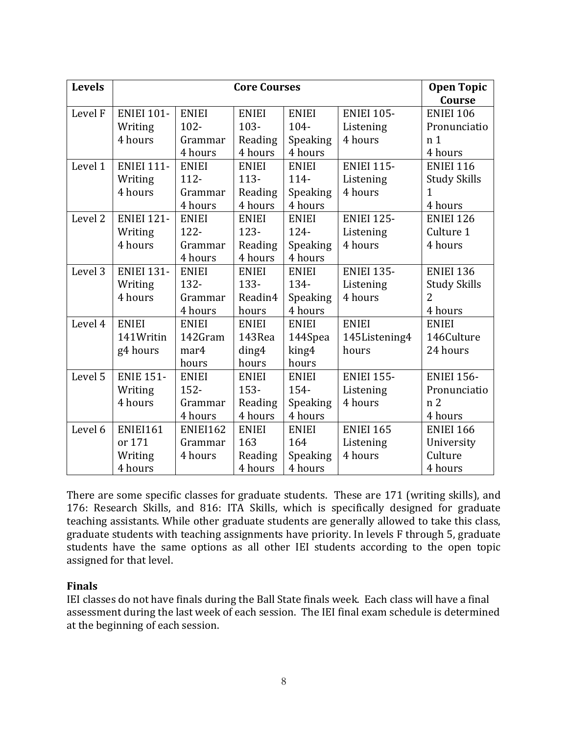| <b>Levels</b>      | <b>Core Courses</b> |                 |              | <b>Open Topic</b> |                   |                     |
|--------------------|---------------------|-----------------|--------------|-------------------|-------------------|---------------------|
|                    |                     |                 |              |                   |                   | Course              |
| Level F            | <b>ENIEI 101-</b>   | <b>ENIEI</b>    | <b>ENIEI</b> | <b>ENIEI</b>      | <b>ENIEI 105-</b> | <b>ENIEI 106</b>    |
|                    | Writing             | $102 -$         | $103 -$      | 104-              | Listening         | Pronunciatio        |
|                    | 4 hours             | Grammar         | Reading      | Speaking          | 4 hours           | n <sub>1</sub>      |
|                    |                     | 4 hours         | 4 hours      | 4 hours           |                   | 4 hours             |
| Level 1            | <b>ENIEI 111-</b>   | <b>ENIEI</b>    | <b>ENIEI</b> | <b>ENIEI</b>      | <b>ENIEI 115-</b> | <b>ENIEI 116</b>    |
|                    | Writing             | 112-            | $113 -$      | 114-              | Listening         | <b>Study Skills</b> |
|                    | 4 hours             | Grammar         | Reading      | Speaking          | 4 hours           | 1                   |
|                    |                     | 4 hours         | 4 hours      | 4 hours           |                   | 4 hours             |
| Level <sub>2</sub> | <b>ENIEI 121-</b>   | <b>ENIEI</b>    | <b>ENIEI</b> | <b>ENIEI</b>      | <b>ENIEI 125-</b> | <b>ENIEI 126</b>    |
|                    | Writing             | 122-            | $123 -$      | 124-              | Listening         | Culture 1           |
|                    | 4 hours             | Grammar         | Reading      | Speaking          | 4 hours           | 4 hours             |
|                    |                     | 4 hours         | 4 hours      | 4 hours           |                   |                     |
| Level 3            | <b>ENIEI 131-</b>   | <b>ENIEI</b>    | <b>ENIEI</b> | <b>ENIEI</b>      | <b>ENIEI 135-</b> | <b>ENIEI 136</b>    |
|                    | Writing             | 132-            | 133-         | 134-              | Listening         | <b>Study Skills</b> |
|                    | 4 hours             | Grammar         | Readin4      | Speaking          | 4 hours           | $\overline{2}$      |
|                    |                     | 4 hours         | hours        | 4 hours           |                   | 4 hours             |
| Level 4            | <b>ENIEI</b>        | <b>ENIEI</b>    | <b>ENIEI</b> | <b>ENIEI</b>      | <b>ENIEI</b>      | <b>ENIEI</b>        |
|                    | 141Writin           | 142Gram         | 143Rea       | 144Spea           | 145Listening4     | 146Culture          |
|                    | g4 hours            | mar4            | ding4        | king4             | hours             | 24 hours            |
|                    |                     | hours           | hours        | hours             |                   |                     |
| Level 5            | <b>ENIE 151-</b>    | <b>ENIEI</b>    | <b>ENIEI</b> | <b>ENIEI</b>      | <b>ENIEI 155-</b> | <b>ENIEI 156-</b>   |
|                    | Writing             | $152 -$         | $153 -$      | 154-              | Listening         | Pronunciatio        |
|                    | 4 hours             | Grammar         | Reading      | Speaking          | 4 hours           | n <sub>2</sub>      |
|                    |                     | 4 hours         | 4 hours      | 4 hours           |                   | 4 hours             |
| Level 6            | <b>ENIEI161</b>     | <b>ENIEI162</b> | <b>ENIEI</b> | <b>ENIEI</b>      | <b>ENIEI 165</b>  | <b>ENIEI 166</b>    |
|                    | or 171              | Grammar         | 163          | 164               | Listening         | University          |
|                    | Writing             | 4 hours         | Reading      | Speaking          | 4 hours           | Culture             |
|                    | 4 hours             |                 | 4 hours      | 4 hours           |                   | 4 hours             |

There are some specific classes for graduate students. These are 171 (writing skills), and 176: Research Skills, and 816: ITA Skills, which is specifically designed for graduate teaching assistants. While other graduate students are generally allowed to take this class, graduate students with teaching assignments have priority. In levels F through 5, graduate students have the same options as all other IEI students according to the open topic assigned for that level.

### **Finals**

IEI classes do not have finals during the Ball State finals week. Each class will have a final assessment during the last week of each session. The IEI final exam schedule is determined at the beginning of each session.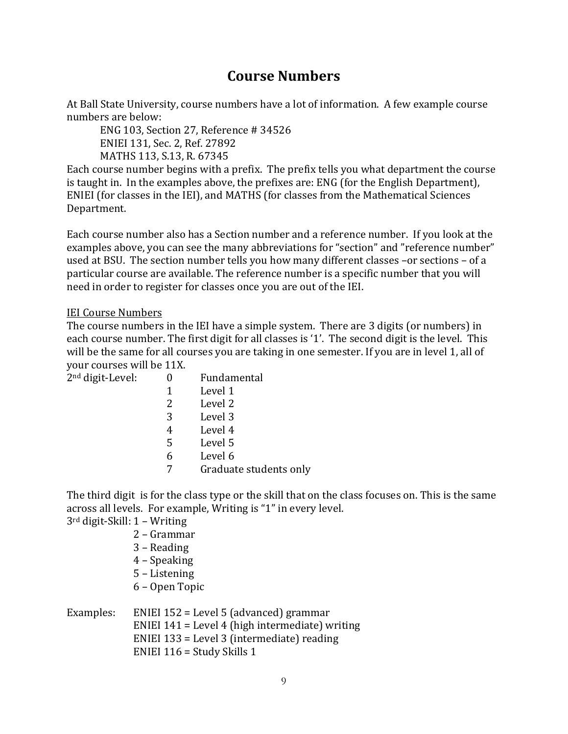# **Course'Numbers**

At Ball State University, course numbers have a lot of information. A few example course numbers are below:

ENG 103, Section 27, Reference # 34526 ENIEI 131, Sec. 2, Ref. 27892 MATHS 113, S.13, R. 67345

Each course number begins with a prefix. The prefix tells you what department the course is taught in. In the examples above, the prefixes are: ENG (for the English Department), ENIEI (for classes in the IEI), and MATHS (for classes from the Mathematical Sciences Department.

Each course number also has a Section number and a reference number. If you look at the examples above, you can see the many abbreviations for "section" and "reference number" used at BSU. The section number tells you how many different classes –or sections – of a particular course are available. The reference number is a specific number that you will need in order to register for classes once you are out of the IEI.

### IEI Course Numbers

The course numbers in the IEI have a simple system. There are 3 digits (or numbers) in each course number. The first digit for all classes is '1'. The second digit is the level. This will be the same for all courses you are taking in one semester. If you are in level 1, all of your courses will be 11X.

2<sup>nd</sup> digit-Level: 0 Fundamental  $1$  Level 1

|   | <b>LUVUL</b>       |
|---|--------------------|
| 2 | Level <sub>2</sub> |

- 3 Level 3
- 4 Level 4
- 5 Level 5
- $6$  Level  $6$
- 7 Graduate students only

The third digit is for the class type or the skill that on the class focuses on. This is the same across all levels. For example, Writing is "1" in every level.

 $3<sup>rd</sup>$  digit-Skill: 1 – Writing

- 2 Grammar
- 3 Reading
- 4 Speaking
- 5 Listening
- 6!–!Open!Topic

| Examples: | ENIEI $152$ = Level 5 (advanced) grammar          |
|-----------|---------------------------------------------------|
|           | ENIEI $141$ = Level 4 (high intermediate) writing |
|           | ENIEI $133$ = Level 3 (intermediate) reading      |
|           | ENIEI $116 =$ Study Skills 1                      |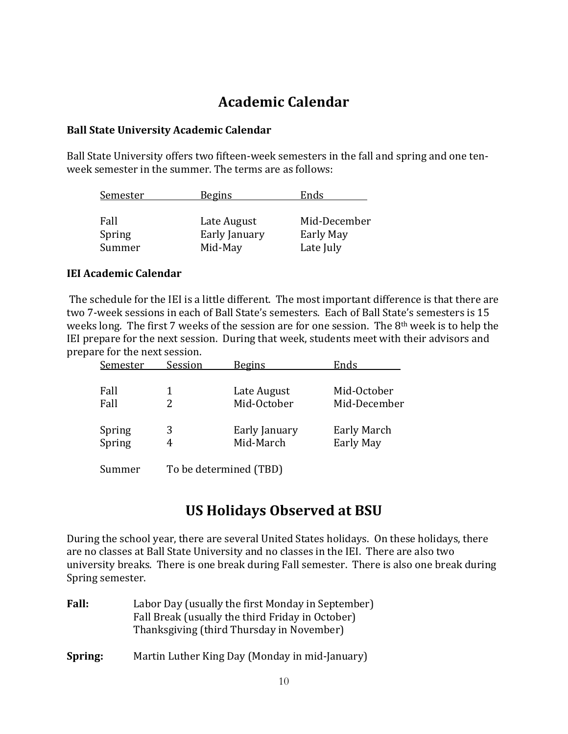# **Academic'Calendar'**

### **Ball'State'University'Academic'Calendar**

Ball State University offers two fifteen-week semesters in the fall and spring and one tenweek semester in the summer. The terms are as follows:

| Semester       | <b>Begins</b>                | Ends                      |
|----------------|------------------------------|---------------------------|
| Fall<br>Spring | Late August<br>Early January | Mid-December<br>Early May |
| Summer         | Mid-May                      | Late July                 |

### **IEI Academic Calendar**

The schedule for the IEI is a little different. The most important difference is that there are two 7-week sessions in each of Ball State's semesters. Each of Ball State's semesters is 15 weeks long. The first 7 weeks of the session are for one session. The 8<sup>th</sup> week is to help the IEI prepare for the next session. During that week, students meet with their advisors and prepare for the next session.

| Semester | Session | <b>Begins</b> | Ends             |
|----------|---------|---------------|------------------|
|          |         |               |                  |
| Fall     |         | Late August   | Mid-October      |
| Fall     |         | Mid-October   | Mid-December     |
| Spring   | 3       | Early January | Early March      |
| Spring   | 4       | Mid-March     | <b>Early May</b> |
|          |         |               |                  |

Summer To be determined (TBD)

# **US'Holidays'Observed'at'BSU'**

During the school year, there are several United States holidays. On these holidays, there are no classes at Ball State University and no classes in the IEI. There are also two university breaks. There is one break during Fall semester. There is also one break during Spring semester.

| <b>Fall:</b> | Labor Day (usually the first Monday in September)<br>Fall Break (usually the third Friday in October)<br>Thanksgiving (third Thursday in November) |
|--------------|----------------------------------------------------------------------------------------------------------------------------------------------------|
| Spring:      | Martin Luther King Day (Monday in mid-January)                                                                                                     |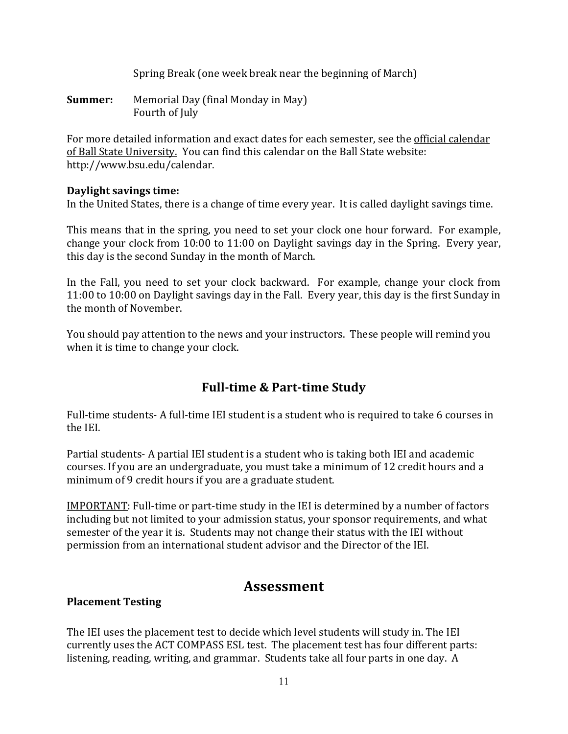Spring Break (one week break near the beginning of March)

**Summer:** Memorial Day (final Monday in May) Fourth of July

For more detailed information and exact dates for each semester, see the official calendar of Ball State University. You can find this calendar on the Ball State website: http://www.bsu.edu/calendar.

### **Daylight savings time:**

In the United States, there is a change of time every year. It is called daylight savings time.

This means that in the spring, you need to set your clock one hour forward. For example, change your clock from  $10:00$  to  $11:00$  on Daylight savings day in the Spring. Every year, this day is the second Sunday in the month of March.

In the Fall, you need to set your clock backward. For example, change your clock from 11:00 to 10:00 on Daylight savings day in the Fall. Every year, this day is the first Sunday in the month of November.

You should pay attention to the news and your instructors. These people will remind you when it is time to change your clock.

# **Full-time & Part-time Study**

Full-time students- A full-time IEI student is a student who is required to take 6 courses in the IEI.

Partial students- A partial IEI student is a student who is taking both IEI and academic courses. If you are an undergraduate, you must take a minimum of 12 credit hours and a minimum of 9 credit hours if you are a graduate student.

IMPORTANT: Full-time or part-time study in the IEI is determined by a number of factors including but not limited to your admission status, your sponsor requirements, and what semester of the year it is. Students may not change their status with the IEI without permission from an international student advisor and the Director of the IEI.

# **Assessment**

### **Placement Testing**

The IEI uses the placement test to decide which level students will study in. The IEI currently uses the ACT COMPASS ESL test. The placement test has four different parts: listening, reading, writing, and grammar. Students take all four parts in one day. A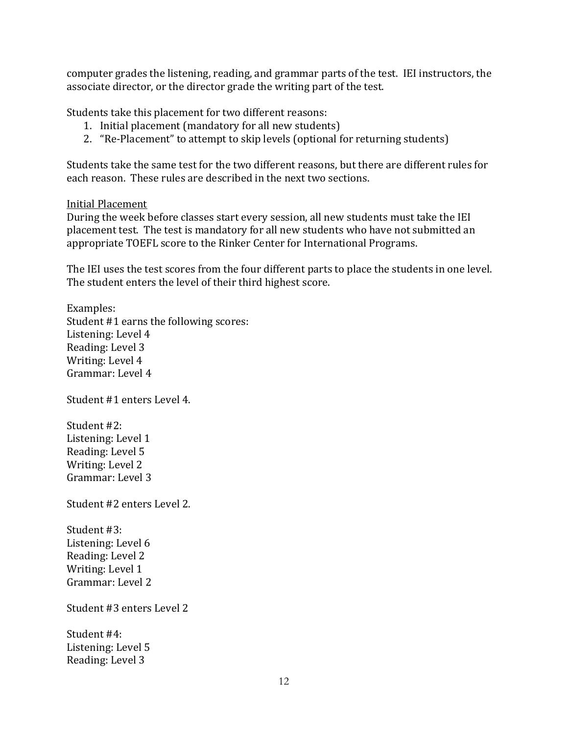computer grades the listening, reading, and grammar parts of the test. IEI instructors, the associate director, or the director grade the writing part of the test.

Students take this placement for two different reasons:

- 1. Initial placement (mandatory for all new students)
- 2. "Re-Placement" to attempt to skip levels (optional for returning students)

Students take the same test for the two different reasons, but there are different rules for each reason. These rules are described in the next two sections.

#### **Initial Placement**

During the week before classes start every session, all new students must take the IEI placement test. The test is mandatory for all new students who have not submitted an appropriate TOEFL score to the Rinker Center for International Programs.

The IEI uses the test scores from the four different parts to place the students in one level. The student enters the level of their third highest score.

Examples: Student #1 earns the following scores: Listening: Level 4 Reading: Level 3 Writing: Level 4 Grammar: Level 4

Student #1 enters Level 4.

Student #2: Listening: Level 1 Reading: Level 5 Writing: Level 2 Grammar: Level 3

Student #2 enters Level 2.

Student #3: Listening: Level 6 Reading: Level 2 Writing: Level 1 Grammar: Level 2

Student #3 enters Level 2

Student #4: Listening: Level 5 Reading: Level 3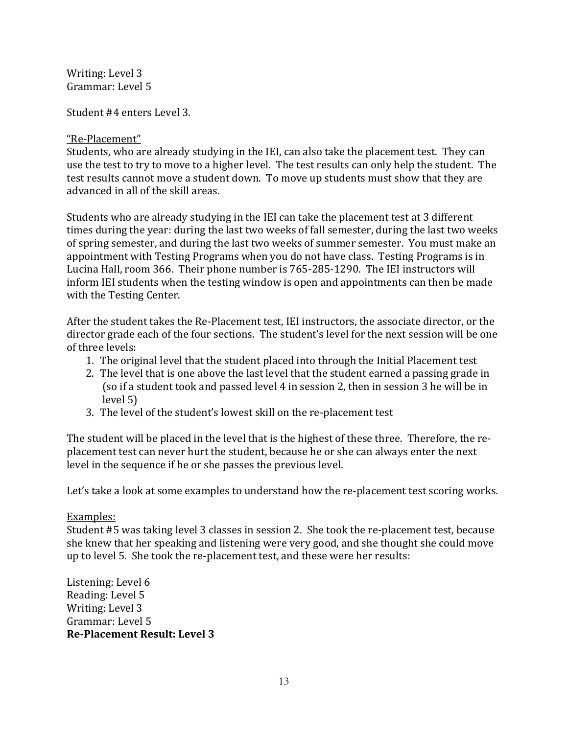Writing: Level 3 Grammar: Level 5

Student #4 enters Level 3.

### "Re-Placement"

Students, who are already studying in the IEI, can also take the placement test. They can use the test to try to move to a higher level. The test results can only help the student. The test results cannot move a student down. To move up students must show that they are advanced in all of the skill areas.

Students who are already studying in the IEI can take the placement test at 3 different times during the year: during the last two weeks of fall semester, during the last two weeks of spring semester, and during the last two weeks of summer semester. You must make an appointment with Testing Programs when you do not have class. Testing Programs is in Lucina Hall, room 366. Their phone number is 765-285-1290. The IEI instructors will inform IEI students when the testing window is open and appointments can then be made with the Testing Center.

After the student takes the Re-Placement test, IEI instructors, the associate director, or the director grade each of the four sections. The student's level for the next session will be one of three levels:

- 1. The original level that the student placed into through the Initial Placement test
- 2. The level that is one above the last level that the student earned a passing grade in (so if a student took and passed level 4 in session 2, then in session 3 he will be in level 5)
- 3. The level of the student's lowest skill on the re-placement test

The student will be placed in the level that is the highest of these three. Therefore, the replacement test can never hurt the student, because he or she can always enter the next level in the sequence if he or she passes the previous level.

Let's take a look at some examples to understand how the re-placement test scoring works.

## Examples:

Student #5 was taking level 3 classes in session 2. She took the re-placement test, because she knew that her speaking and listening were very good, and she thought she could move up to level 5. She took the re-placement test, and these were her results:

Listening: Level 6 Reading: Level 5 Writing: Level 3 Grammar: Level 5 **Re-Placement Result: Level 3**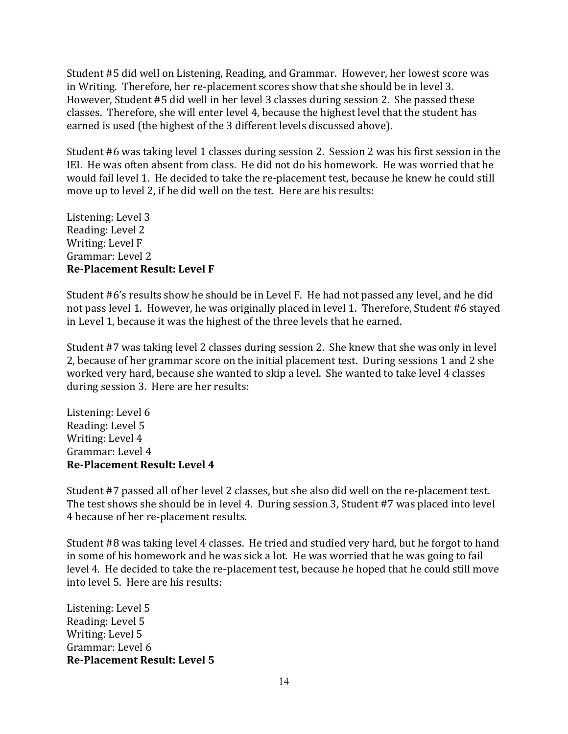Student #5 did well on Listening, Reading, and Grammar. However, her lowest score was in Writing. Therefore, her re-placement scores show that she should be in level 3. However, Student #5 did well in her level 3 classes during session 2. She passed these classes. Therefore, she will enter level 4, because the highest level that the student has earned is used (the highest of the 3 different levels discussed above).

Student #6 was taking level 1 classes during session 2. Session 2 was his first session in the IEI. He was often absent from class. He did not do his homework. He was worried that he would fail level 1. He decided to take the re-placement test, because he knew he could still move up to level 2, if he did well on the test. Here are his results:

Listening: Level 3 Reading: Level 2 Writing: Level F Grammar: Level 2 **Re-Placement Result: Level F** 

Student #6's results show he should be in Level F. He had not passed any level, and he did not pass level 1. However, he was originally placed in level 1. Therefore, Student #6 stayed in Level 1, because it was the highest of the three levels that he earned.

Student #7 was taking level 2 classes during session 2. She knew that she was only in level 2, because of her grammar score on the initial placement test. During sessions 1 and 2 she worked very hard, because she wanted to skip a level. She wanted to take level 4 classes during session 3. Here are her results:

Listening: Level 6 Reading: Level 5 Writing: Level 4 Grammar: Level 4 **Re-Placement Result: Level 4** 

Student #7 passed all of her level 2 classes, but she also did well on the re-placement test. The test shows she should be in level 4. During session 3, Student #7 was placed into level 4 because of her re-placement results.

Student #8 was taking level 4 classes. He tried and studied very hard, but he forgot to hand in some of his homework and he was sick a lot. He was worried that he was going to fail level 4. He decided to take the re-placement test, because he hoped that he could still move into level 5. Here are his results:

Listening: Level 5 Reading: Level 5 Writing: Level 5 Grammar: Level 6 **Re-Placement Result: Level 5**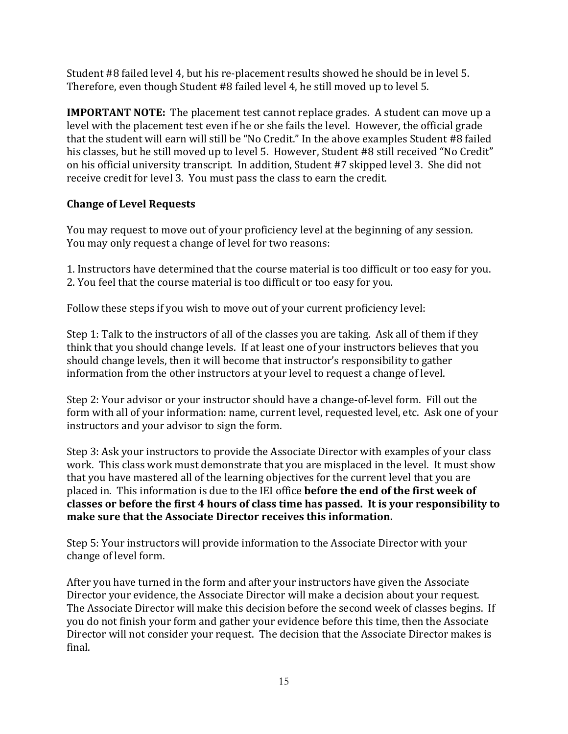Student #8 failed level 4, but his re-placement results showed he should be in level 5. Therefore, even though Student #8 failed level 4, he still moved up to level 5.

**IMPORTANT NOTE:** The placement test cannot replace grades. A student can move up a level with the placement test even if he or she fails the level. However, the official grade that the student will earn will still be "No Credit." In the above examples Student #8 failed his classes, but he still moved up to level 5. However, Student #8 still received "No Credit" on his official university transcript. In addition, Student #7 skipped level 3. She did not receive credit for level 3. You must pass the class to earn the credit.

# **Change of Level Requests**

You may request to move out of your proficiency level at the beginning of any session. You may only request a change of level for two reasons:

1. Instructors have determined that the course material is too difficult or too easy for you. 2. You feel that the course material is too difficult or too easy for you.

Follow these steps if you wish to move out of your current proficiency level:

Step 1: Talk to the instructors of all of the classes you are taking. Ask all of them if they think that you should change levels. If at least one of your instructors believes that you should change levels, then it will become that instructor's responsibility to gather information from the other instructors at your level to request a change of level.

Step 2: Your advisor or your instructor should have a change-of-level form. Fill out the form with all of your information: name, current level, requested level, etc. Ask one of your instructors and your advisor to sign the form.

Step 3: Ask your instructors to provide the Associate Director with examples of your class work. This class work must demonstrate that you are misplaced in the level. It must show that you have mastered all of the learning objectives for the current level that you are placed in. This information is due to the IEI office **before the end of the first week of classes'or'before'the'first'4'hours'of'class'time'has'passed.''It'is'your'responsibility'to'** make sure that the Associate Director receives this information.

Step 5: Your instructors will provide information to the Associate Director with your change of level form.

After you have turned in the form and after your instructors have given the Associate Director your evidence, the Associate Director will make a decision about your request. The Associate Director will make this decision before the second week of classes begins. If you do not finish your form and gather your evidence before this time, then the Associate Director will not consider your request. The decision that the Associate Director makes is final.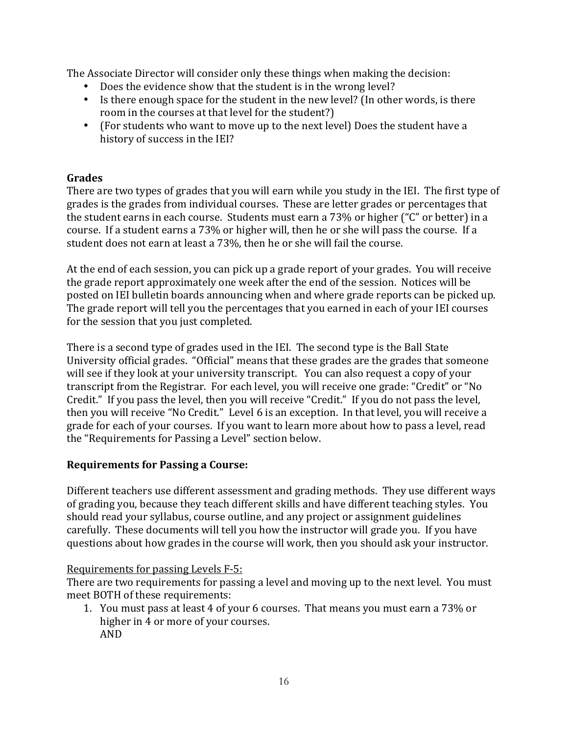The Associate Director will consider only these things when making the decision:

- Does the evidence show that the student is in the wrong level?
- Is there enough space for the student in the new level? (In other words, is there room in the courses at that level for the student?)
- (For students who want to move up to the next level) Does the student have a history of success in the IEI?

### **Grades**

There are two types of grades that you will earn while you study in the IEI. The first type of grades is the grades from individual courses. These are letter grades or percentages that the student earns in each course. Students must earn a 73% or higher ("C" or better) in a course. If a student earns a 73% or higher will, then he or she will pass the course. If a student does not earn at least a 73%, then he or she will fail the course.

At the end of each session, you can pick up a grade report of your grades. You will receive the grade report approximately one week after the end of the session. Notices will be posted on IEI bulletin boards announcing when and where grade reports can be picked up. The grade report will tell you the percentages that you earned in each of your IEI courses for the session that you just completed.

There is a second type of grades used in the IEI. The second type is the Ball State University official grades. "Official" means that these grades are the grades that someone will see if they look at your university transcript. You can also request a copy of your transcript from the Registrar. For each level, you will receive one grade: "Credit" or "No Credit." If you pass the level, then you will receive "Credit." If you do not pass the level, then you will receive "No Credit." Level 6 is an exception. In that level, you will receive a grade for each of your courses. If you want to learn more about how to pass a level, read the "Requirements for Passing a Level" section below.

### **Requirements for Passing a Course:**

Different teachers use different assessment and grading methods. They use different ways of grading you, because they teach different skills and have different teaching styles. You should read your syllabus, course outline, and any project or assignment guidelines carefully. These documents will tell you how the instructor will grade you. If you have questions about how grades in the course will work, then you should ask your instructor.

### Requirements for passing Levels F-5:

There are two requirements for passing a level and moving up to the next level. You must meet BOTH of these requirements:

1. You must pass at least 4 of your 6 courses. That means you must earn a 73% or higher in 4 or more of your courses. AND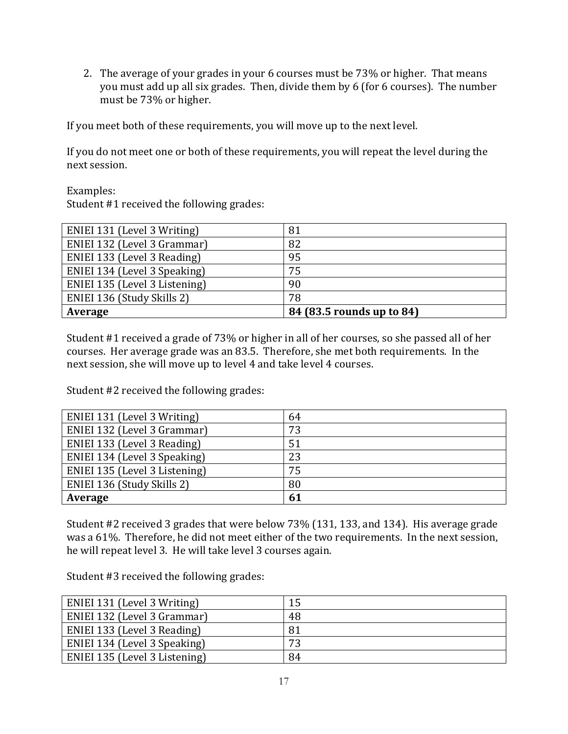2. The average of your grades in your 6 courses must be 73% or higher. That means you must add up all six grades. Then, divide them by 6 (for 6 courses). The number must be 73% or higher.

If you meet both of these requirements, you will move up to the next level.

If you do not meet one or both of these requirements, you will repeat the level during the next session.

Examples:

Student #1 received the following grades:

| ENIEI 131 (Level 3 Writing)   | 81                        |
|-------------------------------|---------------------------|
| ENIEI 132 (Level 3 Grammar)   | 82                        |
| ENIEI 133 (Level 3 Reading)   | 95                        |
| ENIEI 134 (Level 3 Speaking)  | 75                        |
| ENIEI 135 (Level 3 Listening) | 90                        |
| ENIEI 136 (Study Skills 2)    | 78                        |
| Average                       | 84 (83.5 rounds up to 84) |

Student #1 received a grade of 73% or higher in all of her courses, so she passed all of her courses. Her average grade was an 83.5. Therefore, she met both requirements. In the next session, she will move up to level 4 and take level 4 courses.

Student #2 received the following grades:

| ENIEI 131 (Level 3 Writing)   | 64 |
|-------------------------------|----|
| ENIEI 132 (Level 3 Grammar)   | 73 |
| ENIEI 133 (Level 3 Reading)   | 51 |
| ENIEI 134 (Level 3 Speaking)  | 23 |
| ENIEI 135 (Level 3 Listening) | 75 |
| ENIEI 136 (Study Skills 2)    | 80 |
| Average                       | 61 |

Student #2 received 3 grades that were below 73% (131, 133, and 134). His average grade was a 61%. Therefore, he did not meet either of the two requirements. In the next session, he will repeat level 3. He will take level 3 courses again.

Student #3 received the following grades:

| ENIEI 131 (Level 3 Writing)   |    |
|-------------------------------|----|
| ENIEI 132 (Level 3 Grammar)   | 48 |
| ENIEI 133 (Level 3 Reading)   | 81 |
| ENIEI 134 (Level 3 Speaking)  | 73 |
| ENIEI 135 (Level 3 Listening) | 84 |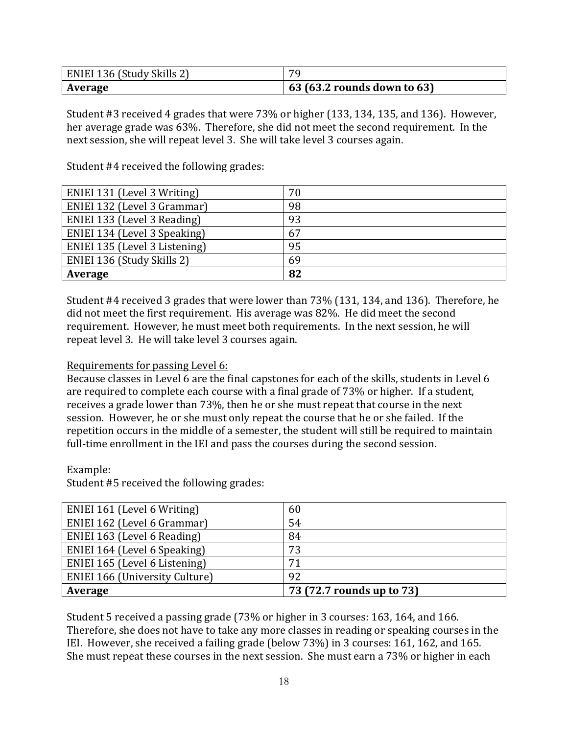| ENIEI 136 (Study Skills 2) | 70                          |  |
|----------------------------|-----------------------------|--|
| Average                    | 63 (63.2 rounds down to 63) |  |

Student #3 received 4 grades that were  $73\%$  or higher (133, 134, 135, and 136). However, her average grade was 63%. Therefore, she did not meet the second requirement. In the next session, she will repeat level 3. She will take level 3 courses again.

Student #4 received the following grades:

| ENIEI 131 (Level 3 Writing)   | 70 |
|-------------------------------|----|
| ENIEI 132 (Level 3 Grammar)   | 98 |
| ENIEI 133 (Level 3 Reading)   | 93 |
| ENIEI 134 (Level 3 Speaking)  | 67 |
| ENIEI 135 (Level 3 Listening) | 95 |
| ENIEI 136 (Study Skills 2)    | 69 |
| Average                       | 82 |

Student #4 received 3 grades that were lower than 73% (131, 134, and 136). Therefore, he did not meet the first requirement. His average was 82%. He did meet the second requirement. However, he must meet both requirements. In the next session, he will repeat level 3. He will take level 3 courses again.

### Requirements for passing Level 6:

Because classes in Level 6 are the final capstones for each of the skills, students in Level 6 are required to complete each course with a final grade of 73% or higher. If a student, receives a grade lower than 73%, then he or she must repeat that course in the next session. However, he or she must only repeat the course that he or she failed. If the repetition occurs in the middle of a semester, the student will still be required to maintain full-time enrollment in the IEI and pass the courses during the second session.

Example:

Student #5 received the following grades:

| ENIEI 161 (Level 6 Writing)           | 60                        |
|---------------------------------------|---------------------------|
| ENIEI 162 (Level 6 Grammar)           | 54                        |
| ENIEI 163 (Level 6 Reading)           | 84                        |
| ENIEI 164 (Level 6 Speaking)          | 73                        |
| ENIEI 165 (Level 6 Listening)         | 71                        |
| <b>ENIEI 166 (University Culture)</b> | 92                        |
| Average                               | 73 (72.7 rounds up to 73) |

Student 5 received a passing grade  $(73\%$  or higher in 3 courses: 163, 164, and 166. Therefore, she does not have to take any more classes in reading or speaking courses in the IEI. However, she received a failing grade (below  $73\%$ ) in 3 courses: 161, 162, and 165. She must repeat these courses in the next session. She must earn a 73% or higher in each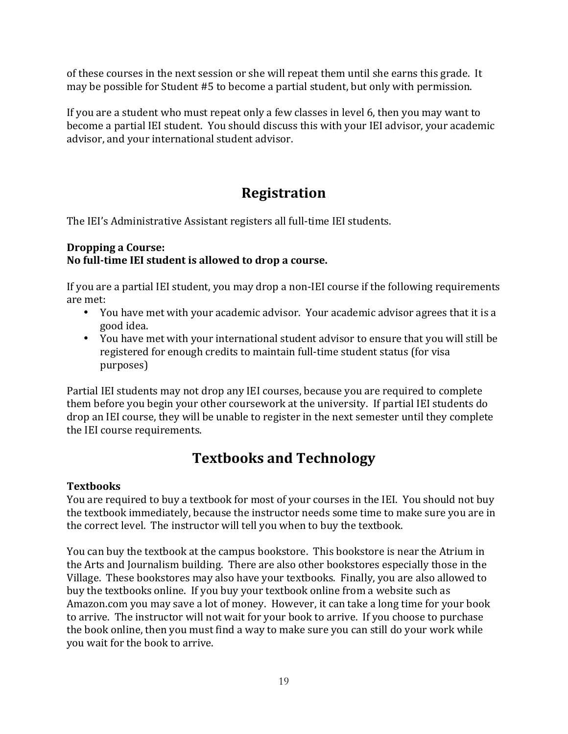of these courses in the next session or she will repeat them until she earns this grade. It may be possible for Student #5 to become a partial student, but only with permission.

If you are a student who must repeat only a few classes in level 6, then you may want to become a partial IEI student. You should discuss this with your IEI advisor, your academic advisor, and your international student advisor.

# **Registration'**

The IEI's Administrative Assistant registers all full-time IEI students.

### **Dropping'a'Course:'** No full-time IEI student is allowed to drop a course.

If you are a partial IEI student, you may drop a non-IEI course if the following requirements are met:

- You have met with your academic advisor. Your academic advisor agrees that it is a good idea.
- You have met with your international student advisor to ensure that you will still be registered for enough credits to maintain full-time student status (for visa purposes)

Partial IEI students may not drop any IEI courses, because you are required to complete them before you begin your other coursework at the university. If partial IEI students do drop an IEI course, they will be unable to register in the next semester until they complete the IEI course requirements.

# **Textbooks'and'Technology**

## **Textbooks**

You are required to buy a textbook for most of your courses in the IEI. You should not buy the textbook immediately, because the instructor needs some time to make sure you are in the correct level. The instructor will tell you when to buy the textbook.

You can buy the textbook at the campus bookstore. This bookstore is near the Atrium in the Arts and Journalism building. There are also other bookstores especially those in the Village. These bookstores may also have your textbooks. Finally, you are also allowed to buy the textbooks online. If you buy your textbook online from a website such as Amazon.com you may save a lot of money. However, it can take a long time for your book to arrive. The instructor will not wait for your book to arrive. If you choose to purchase the book online, then you must find a way to make sure you can still do your work while you wait for the book to arrive.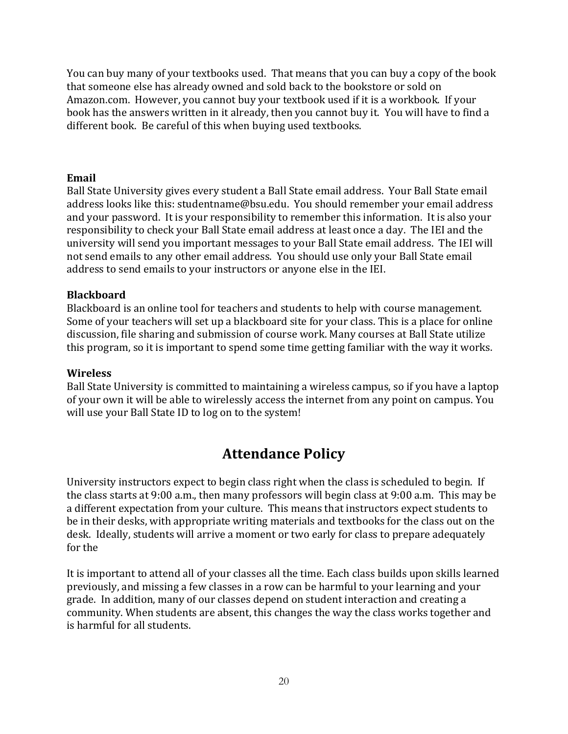You can buy many of your textbooks used. That means that you can buy a copy of the book that someone else has already owned and sold back to the bookstore or sold on Amazon.com. However, you cannot buy your textbook used if it is a workbook. If your book has the answers written in it already, then you cannot buy it. You will have to find a different book. Be careful of this when buying used textbooks.

### **Email**

Ball State University gives every student a Ball State email address. Your Ball State email address looks like this: studentname@bsu.edu. You should remember your email address and your password. It is your responsibility to remember this information. It is also your responsibility to check your Ball State email address at least once a day. The IEI and the university will send you important messages to your Ball State email address. The IEI will not send emails to any other email address. You should use only your Ball State email address to send emails to your instructors or anyone else in the IEI.

### **Blackboard**

Blackboard is an online tool for teachers and students to help with course management. Some of your teachers will set up a blackboard site for your class. This is a place for online discussion, file sharing and submission of course work. Many courses at Ball State utilize this program, so it is important to spend some time getting familiar with the way it works.

#### **Wireless**

Ball State University is committed to maintaining a wireless campus, so if you have a laptop of your own it will be able to wirelessly access the internet from any point on campus. You will use your Ball State ID to log on to the system!

# **Attendance Policy**

University instructors expect to begin class right when the class is scheduled to begin. If the class starts at 9:00 a.m., then many professors will begin class at 9:00 a.m. This may be a different expectation from your culture. This means that instructors expect students to be in their desks, with appropriate writing materials and textbooks for the class out on the desk. Ideally, students will arrive a moment or two early for class to prepare adequately for the

It is important to attend all of your classes all the time. Each class builds upon skills learned previously, and missing a few classes in a row can be harmful to your learning and your grade. In addition, many of our classes depend on student interaction and creating a community. When students are absent, this changes the way the class works together and is harmful for all students.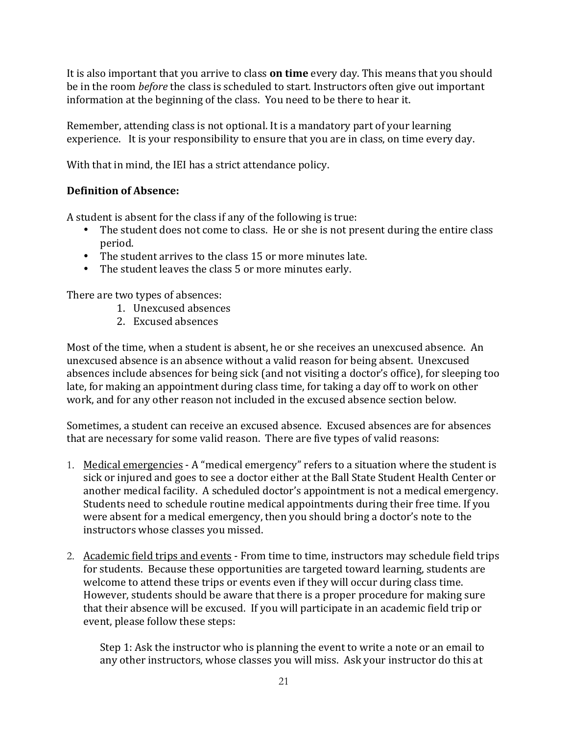It is also important that you arrive to class **on time** every day. This means that you should be in the room *before* the class is scheduled to start. Instructors often give out important information at the beginning of the class. You need to be there to hear it.

Remember, attending class is not optional. It is a mandatory part of your learning experience. It is your responsibility to ensure that you are in class, on time every day.

With that in mind, the IEI has a strict attendance policy.

# **Definition'of'Absence:**

A student is absent for the class if any of the following is true:

- The student does not come to class. He or she is not present during the entire class period.
- The student arrives to the class 15 or more minutes late.
- The student leaves the class 5 or more minutes early.

There are two types of absences:

- 1. Unexcused absences
- 2. Excused absences

Most of the time, when a student is absent, he or she receives an unexcused absence. An unexcused absence is an absence without a valid reason for being absent. Unexcused absences include absences for being sick (and not visiting a doctor's office), for sleeping too late, for making an appointment during class time, for taking a day off to work on other work, and for any other reason not included in the excused absence section below.

Sometimes, a student can receive an excused absence. Excused absences are for absences that are necessary for some valid reason. There are five types of valid reasons:

- 1. Medical emergencies A "medical emergency" refers to a situation where the student is sick or injured and goes to see a doctor either at the Ball State Student Health Center or another medical facility. A scheduled doctor's appointment is not a medical emergency. Students need to schedule routine medical appointments during their free time. If you were absent for a medical emergency, then you should bring a doctor's note to the instructors whose classes you missed.
- 2. Academic field trips and events From time to time, instructors may schedule field trips for students. Because these opportunities are targeted toward learning, students are welcome to attend these trips or events even if they will occur during class time. However, students should be aware that there is a proper procedure for making sure that their absence will be excused. If you will participate in an academic field trip or event, please follow these steps:

Step 1: Ask the instructor who is planning the event to write a note or an email to any other instructors, whose classes you will miss. Ask your instructor do this at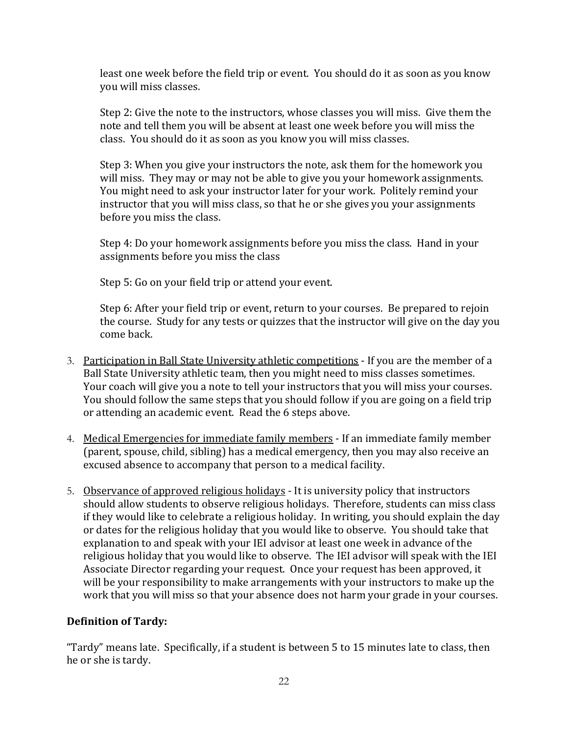least one week before the field trip or event. You should do it as soon as you know you will miss classes.

Step 2: Give the note to the instructors, whose classes you will miss. Give them the note and tell them you will be absent at least one week before you will miss the class. You should do it as soon as you know you will miss classes.

Step 3: When you give your instructors the note, ask them for the homework you will miss. They may or may not be able to give you your homework assignments. You might need to ask your instructor later for your work. Politely remind your instructor that you will miss class, so that he or she gives you your assignments before you miss the class.

Step 4: Do your homework assignments before you miss the class. Hand in your assignments before you miss the class

Step 5: Go on your field trip or attend your event.

Step 6: After your field trip or event, return to your courses. Be prepared to rejoin the course. Study for any tests or quizzes that the instructor will give on the day you come back.

- 3. Participation in Ball State University athletic competitions If you are the member of a Ball State University athletic team, then you might need to miss classes sometimes. Your coach will give you a note to tell your instructors that you will miss your courses. You should follow the same steps that you should follow if you are going on a field trip or attending an academic event. Read the 6 steps above.
- 4. Medical Emergencies for immediate family members If an immediate family member (parent, spouse, child, sibling) has a medical emergency, then you may also receive an excused absence to accompany that person to a medical facility.
- 5. Observance of approved religious holidays It is university policy that instructors should allow students to observe religious holidays. Therefore, students can miss class if they would like to celebrate a religious holiday. In writing, you should explain the day or dates for the religious holiday that you would like to observe. You should take that explanation to and speak with your IEI advisor at least one week in advance of the religious holiday that you would like to observe. The IEI advisor will speak with the IEI Associate Director regarding your request. Once your request has been approved, it will be your responsibility to make arrangements with your instructors to make up the work that you will miss so that your absence does not harm your grade in your courses.

## **Definition'of'Tardy:**

"Tardy" means late. Specifically, if a student is between 5 to 15 minutes late to class, then he or she is tardy.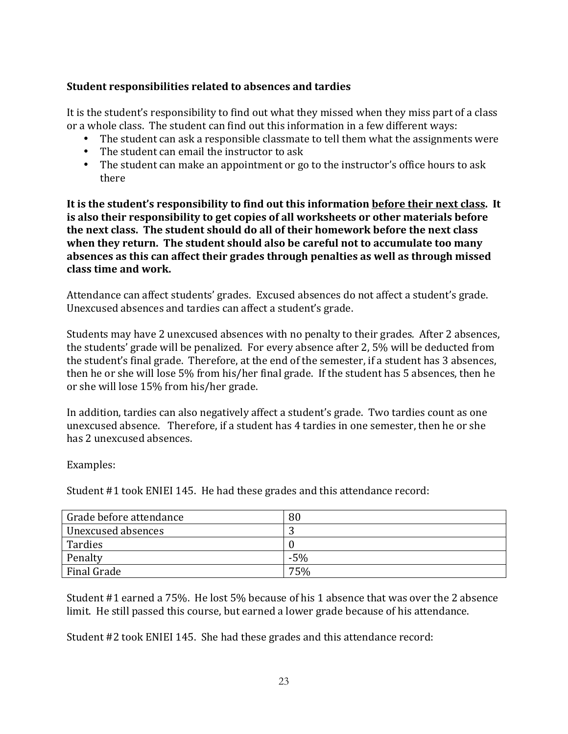### Student responsibilities related to absences and tardies

It is the student's responsibility to find out what they missed when they miss part of a class or a whole class. The student can find out this information in a few different ways:

- The student can ask a responsible classmate to tell them what the assignments were
- The student can email the instructor to ask
- The student can make an appointment or go to the instructor's office hours to ask there

It is the student's responsibility to find out this information before their next class. It is also their responsibility to get copies of all worksheets or other materials before the next class. The student should do all of their homework before the next class when they return. The student should also be careful not to accumulate too many absences as this can affect their grades through penalties as well as through missed **class'time'and'work.**

Attendance can affect students' grades. Excused absences do not affect a student's grade. Unexcused absences and tardies can affect a student's grade.

Students may have 2 unexcused absences with no penalty to their grades. After 2 absences, the students' grade will be penalized. For every absence after 2, 5% will be deducted from the student's final grade. Therefore, at the end of the semester, if a student has 3 absences, then he or she will lose  $5\%$  from his/her final grade. If the student has 5 absences, then he or she will lose 15% from his/her grade.

In addition, tardies can also negatively affect a student's grade. Two tardies count as one unexcused absence. Therefore, if a student has 4 tardies in one semester, then he or she has 2 unexcused absences.

Examples:

Student #1 took ENIEI 145. He had these grades and this attendance record:

| Grade before attendance | 80    |
|-------------------------|-------|
| Unexcused absences      | ີ     |
| Tardies                 |       |
| Penalty                 | $-5%$ |
| Final Grade             | 75%   |

Student #1 earned a 75%. He lost 5% because of his 1 absence that was over the 2 absence limit. He still passed this course, but earned a lower grade because of his attendance.

Student #2 took ENIEI 145. She had these grades and this attendance record: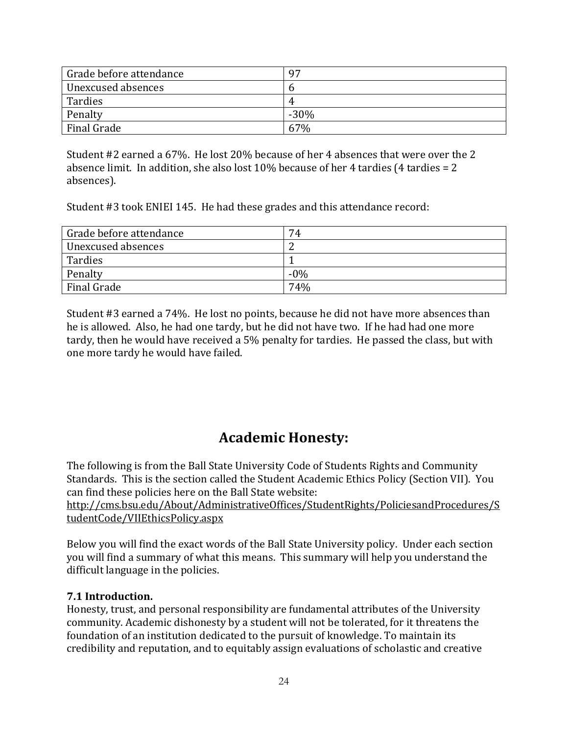| Grade before attendance | 97     |
|-------------------------|--------|
| Unexcused absences      | n      |
| Tardies                 | 4      |
| Penalty                 | $-30%$ |
| Final Grade             | 67%    |

Student #2 earned a 67%. He lost 20% because of her 4 absences that were over the 2 absence limit. In addition, she also lost  $10\%$  because of her 4 tardies (4 tardies = 2 absences).

Student #3 took ENIEI 145. He had these grades and this attendance record:

| Grade before attendance | 74     |
|-------------------------|--------|
| Unexcused absences      |        |
| Tardies                 |        |
| Penalty                 | $-0\%$ |
| Final Grade             | 74%    |

Student #3 earned a 74%. He lost no points, because he did not have more absences than he is allowed. Also, he had one tardy, but he did not have two. If he had had one more tardy, then he would have received a 5% penalty for tardies. He passed the class, but with one more tardy he would have failed.

# **Academic'Honesty:'**

The following is from the Ball State University Code of Students Rights and Community Standards. This is the section called the Student Academic Ethics Policy (Section VII). You can find these policies here on the Ball State website:

http://cms.bsu.edu/About/AdministrativeOffices/StudentRights/PoliciesandProcedures/S tudentCode/VIIEthicsPolicy.aspx

Below you will find the exact words of the Ball State University policy. Under each section you will find a summary of what this means. This summary will help you understand the difficult language in the policies.

### **7.1'Introduction.'**

Honesty, trust, and personal responsibility are fundamental attributes of the University community. Academic dishonesty by a student will not be tolerated, for it threatens the foundation of an institution dedicated to the pursuit of knowledge. To maintain its credibility and reputation, and to equitably assign evaluations of scholastic and creative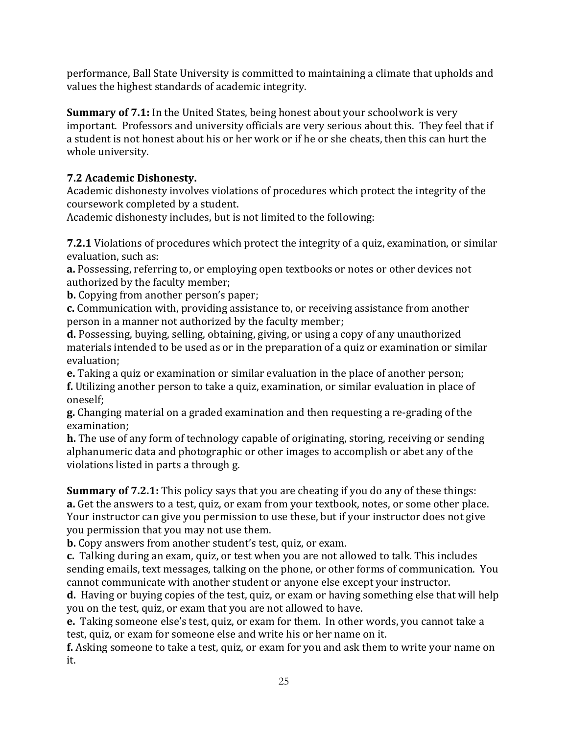performance, Ball State University is committed to maintaining a climate that upholds and values the highest standards of academic integrity.

**Summary of 7.1:** In the United States, being honest about your schoolwork is very important. Professors and university officials are very serious about this. They feel that if a student is not honest about his or her work or if he or she cheats, then this can hurt the whole university.

# **7.2'Academic'Dishonesty.**

Academic dishonesty involves violations of procedures which protect the integrity of the coursework completed by a student.

Academic dishonesty includes, but is not limited to the following:

**7.2.1** Violations of procedures which protect the integrity of a quiz, examination, or similar evaluation, such as:

**a.** Possessing, referring to, or employing open textbooks or notes or other devices not authorized by the faculty member;

**b.** Copying from another person's paper;

**c.** Communication with, providing assistance to, or receiving assistance from another person in a manner not authorized by the faculty member;

**d.** Possessing, buying, selling, obtaining, giving, or using a copy of any unauthorized materials intended to be used as or in the preparation of a quiz or examination or similar evaluation:

**e.** Taking a quiz or examination or similar evaluation in the place of another person; **f.** Utilizing another person to take a quiz, examination, or similar evaluation in place of oneself:

**g**. Changing material on a graded examination and then requesting a re-grading of the examination;

**h.** The use of any form of technology capable of originating, storing, receiving or sending alphanumeric data and photographic or other images to accomplish or abet any of the violations listed in parts a through g.

**Summary of 7.2.1:** This policy says that you are cheating if you do any of these things: **a.** Get the answers to a test, quiz, or exam from your textbook, notes, or some other place. Your instructor can give you permission to use these, but if your instructor does not give you permission that you may not use them.

**b.** Copy answers from another student's test, quiz, or exam.

**c.** Talking during an exam, quiz, or test when you are not allowed to talk. This includes sending emails, text messages, talking on the phone, or other forms of communication. You cannot communicate with another student or anyone else except your instructor.

**d.** Having or buying copies of the test, quiz, or exam or having something else that will help you on the test, quiz, or exam that you are not allowed to have.

**e.** Taking someone else's test, quiz, or exam for them. In other words, you cannot take a test, quiz, or exam for someone else and write his or her name on it.

**f.** Asking someone to take a test, quiz, or exam for you and ask them to write your name on it.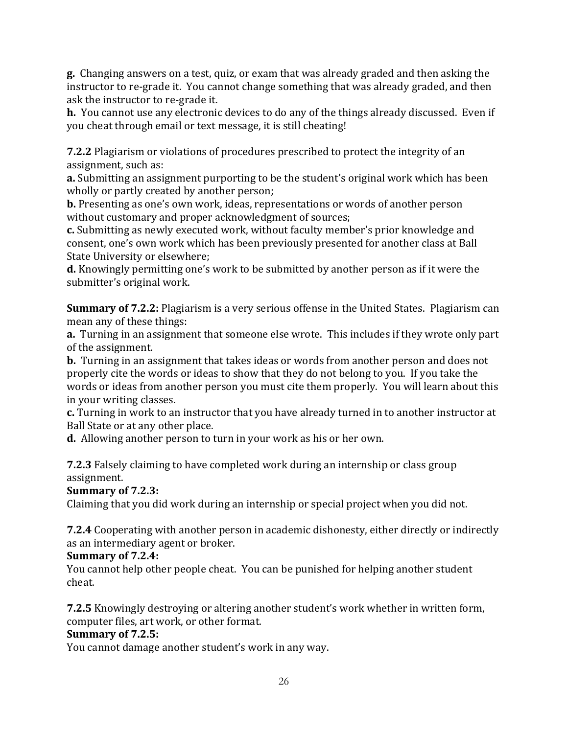**g.** Changing answers on a test, quiz, or exam that was already graded and then asking the instructor to re-grade it. You cannot change something that was already graded, and then ask the instructor to re-grade it.

**h.** You cannot use any electronic devices to do any of the things already discussed. Even if you cheat through email or text message, it is still cheating!

**7.2.2** Plagiarism or violations of procedures prescribed to protect the integrity of an assignment, such as:

**a.** Submitting an assignment purporting to be the student's original work which has been wholly or partly created by another person;

**b.** Presenting as one's own work, ideas, representations or words of another person without customary and proper acknowledgment of sources;

**c.** Submitting as newly executed work, without faculty member's prior knowledge and consent, one's own work which has been previously presented for another class at Ball State University or elsewhere:

**d.** Knowingly permitting one's work to be submitted by another person as if it were the submitter's original work.

**Summary of 7.2.2:** Plagiarism is a very serious offense in the United States. Plagiarism can mean any of these things:

**a.** Turning in an assignment that someone else wrote. This includes if they wrote only part of the assignment.

**b.** Turning in an assignment that takes ideas or words from another person and does not properly cite the words or ideas to show that they do not belong to you. If you take the words or ideas from another person you must cite them properly. You will learn about this in your writing classes.

**c.** Turning in work to an instructor that you have already turned in to another instructor at Ball State or at any other place.

**d.** Allowing another person to turn in your work as his or her own.

**7.2.3** Falsely claiming to have completed work during an internship or class group assignment.

**Summary'of'7.2.3:**

Claiming that you did work during an internship or special project when you did not.

**7.2.4** Cooperating with another person in academic dishonesty, either directly or indirectly as an intermediary agent or broker.

## **Summary'of'7.2.4:**

You cannot help other people cheat. You can be punished for helping another student cheat.

**7.2.5** Knowingly destroying or altering another student's work whether in written form, computer files, art work, or other format.

# **Summary'of'7.2.5:**

You cannot damage another student's work in any way.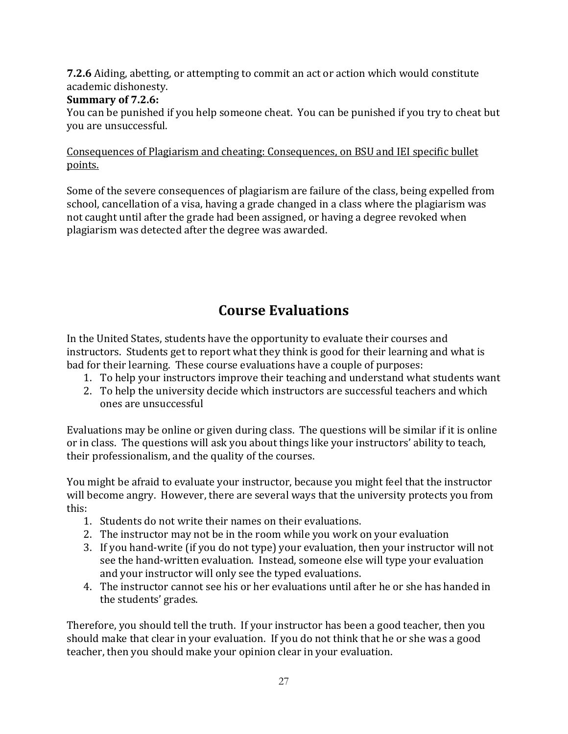**7.2.6** Aiding, abetting, or attempting to commit an act or action which would constitute academic dishonesty.

## **Summary'of'7.2.6:**

You can be punished if you help someone cheat. You can be punished if you try to cheat but you are unsuccessful.

### Consequences of Plagiarism and cheating: Consequences, on BSU and IEI specific bullet points.

Some of the severe consequences of plagiarism are failure of the class, being expelled from school, cancellation of a visa, having a grade changed in a class where the plagiarism was not caught until after the grade had been assigned, or having a degree revoked when plagiarism was detected after the degree was awarded.

# **Course'Evaluations**

In the United States, students have the opportunity to evaluate their courses and instructors. Students get to report what they think is good for their learning and what is bad for their learning. These course evaluations have a couple of purposes:

- 1. To help your instructors improve their teaching and understand what students want
- 2. To help the university decide which instructors are successful teachers and which ones are unsuccessful

Evaluations may be online or given during class. The questions will be similar if it is online or in class. The questions will ask you about things like your instructors' ability to teach, their professionalism, and the quality of the courses.

You might be afraid to evaluate your instructor, because you might feel that the instructor will become angry. However, there are several ways that the university protects you from this:

- 1. Students do not write their names on their evaluations.
- 2. The instructor may not be in the room while you work on your evaluation
- 3. If you hand-write (if you do not type) your evaluation, then your instructor will not see the hand-written evaluation. Instead, someone else will type your evaluation and your instructor will only see the typed evaluations.
- 4. The instructor cannot see his or her evaluations until after he or she has handed in the students' grades.

Therefore, you should tell the truth. If your instructor has been a good teacher, then you should make that clear in your evaluation. If you do not think that he or she was a good teacher, then you should make your opinion clear in your evaluation.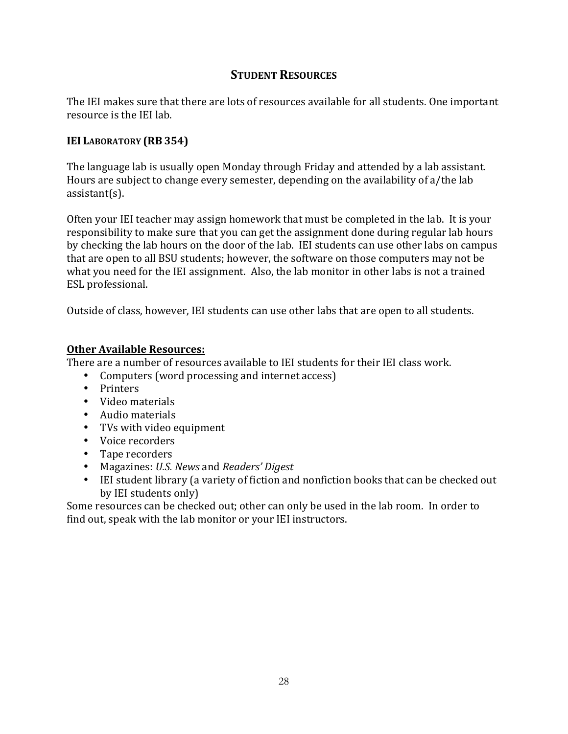# **STUDENT RESOURCES**

The IEI makes sure that there are lots of resources available for all students. One important resource is the IEI lab.

### **IEI LABORATORY'(RB 354)**

The language lab is usually open Monday through Friday and attended by a lab assistant. Hours are subject to change every semester, depending on the availability of a/the lab  $\text{assertant}(s)$ .

Often your IEI teacher may assign homework that must be completed in the lab. It is your responsibility to make sure that you can get the assignment done during regular lab hours by checking the lab hours on the door of the lab. IEI students can use other labs on campus that are open to all BSU students; however, the software on those computers may not be what you need for the IEI assignment. Also, the lab monitor in other labs is not a trained ESL professional.

Outside of class, however, IEI students can use other labs that are open to all students.

### **Other Available Resources:**

There are a number of resources available to IEI students for their IEI class work.

- Computers (word processing and internet access)
- Printers
- Video materials
- Audio materials
- TVs with video equipment
- Voice recorders
- Tape recorders
- Magazines: *U.S. News* and *Readers' Digest*
- IEI student library (a variety of fiction and nonfiction books that can be checked out by IEI students only)

Some resources can be checked out; other can only be used in the lab room. In order to find out, speak with the lab monitor or your IEI instructors.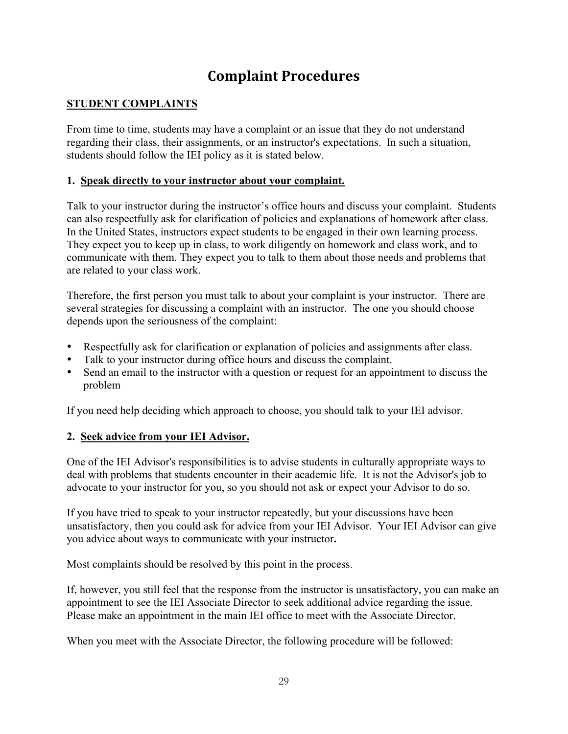# **Complaint'Procedures'**

### **STUDENT COMPLAINTS**

From time to time, students may have a complaint or an issue that they do not understand regarding their class, their assignments, or an instructor's expectations. In such a situation, students should follow the IEI policy as it is stated below.

### **1. Speak directly to your instructor about your complaint.**

Talk to your instructor during the instructor's office hours and discuss your complaint. Students can also respectfully ask for clarification of policies and explanations of homework after class. In the United States, instructors expect students to be engaged in their own learning process. They expect you to keep up in class, to work diligently on homework and class work, and to communicate with them. They expect you to talk to them about those needs and problems that are related to your class work.

Therefore, the first person you must talk to about your complaint is your instructor. There are several strategies for discussing a complaint with an instructor. The one you should choose depends upon the seriousness of the complaint:

- Respectfully ask for clarification or explanation of policies and assignments after class.
- Talk to your instructor during office hours and discuss the complaint.
- Send an email to the instructor with a question or request for an appointment to discuss the problem

If you need help deciding which approach to choose, you should talk to your IEI advisor.

### **2. Seek advice from your IEI Advisor.**

One of the IEI Advisor's responsibilities is to advise students in culturally appropriate ways to deal with problems that students encounter in their academic life. It is not the Advisor's job to advocate to your instructor for you, so you should not ask or expect your Advisor to do so.

If you have tried to speak to your instructor repeatedly, but your discussions have been unsatisfactory, then you could ask for advice from your IEI Advisor. Your IEI Advisor can give you advice about ways to communicate with your instructor**.**

Most complaints should be resolved by this point in the process.

If, however, you still feel that the response from the instructor is unsatisfactory, you can make an appointment to see the IEI Associate Director to seek additional advice regarding the issue. Please make an appointment in the main IEI office to meet with the Associate Director.

When you meet with the Associate Director, the following procedure will be followed: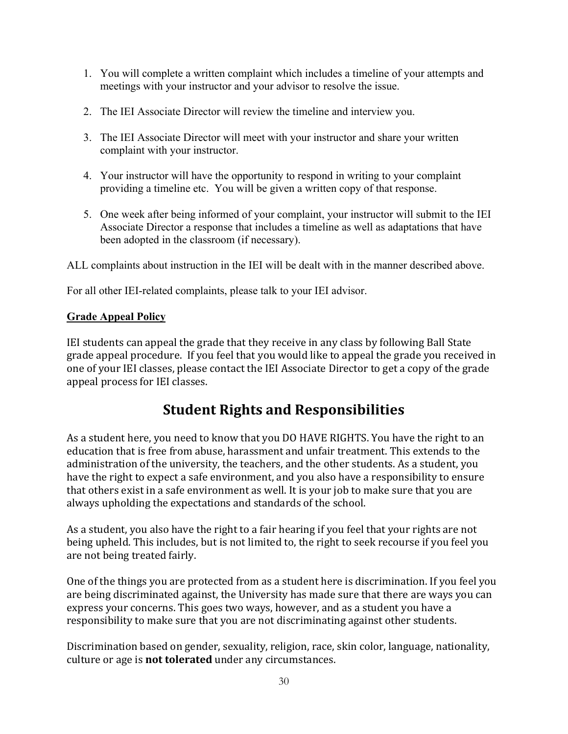- 1. You will complete a written complaint which includes a timeline of your attempts and meetings with your instructor and your advisor to resolve the issue.
- 2. The IEI Associate Director will review the timeline and interview you.
- 3. The IEI Associate Director will meet with your instructor and share your written complaint with your instructor.
- 4. Your instructor will have the opportunity to respond in writing to your complaint providing a timeline etc. You will be given a written copy of that response.
- 5. One week after being informed of your complaint, your instructor will submit to the IEI Associate Director a response that includes a timeline as well as adaptations that have been adopted in the classroom (if necessary).

ALL complaints about instruction in the IEI will be dealt with in the manner described above.

For all other IEI-related complaints, please talk to your IEI advisor.

### **Grade Appeal Policy**

IEI students can appeal the grade that they receive in any class by following Ball State grade appeal procedure. If you feel that you would like to appeal the grade you received in one of your IEI classes, please contact the IEI Associate Director to get a copy of the grade appeal process for IEI classes.

# **Student Rights and Responsibilities**

As a student here, you need to know that you DO HAVE RIGHTS. You have the right to an education that is free from abuse, harassment and unfair treatment. This extends to the administration of the university, the teachers, and the other students. As a student, you have the right to expect a safe environment, and you also have a responsibility to ensure that others exist in a safe environment as well. It is your job to make sure that you are always upholding the expectations and standards of the school.

As a student, you also have the right to a fair hearing if you feel that your rights are not being upheld. This includes, but is not limited to, the right to seek recourse if you feel you are not being treated fairly.

One of the things you are protected from as a student here is discrimination. If you feel you are being discriminated against, the University has made sure that there are ways you can express your concerns. This goes two ways, however, and as a student you have a responsibility to make sure that you are not discriminating against other students.

Discrimination based on gender, sexuality, religion, race, skin color, language, nationality, culture or age is **not tolerated** under any circumstances.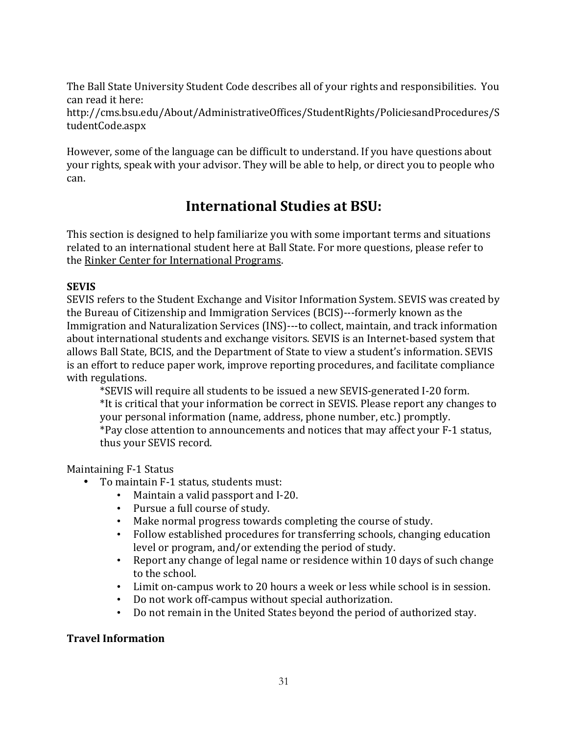The Ball State University Student Code describes all of your rights and responsibilities. You can read it here:

http://cms.bsu.edu/About/AdministrativeOffices/StudentRights/PoliciesandProcedures/S tudentCode.aspx

However, some of the language can be difficult to understand. If you have questions about your rights, speak with your advisor. They will be able to help, or direct you to people who can.

# **International Studies at BSU:**

This section is designed to help familiarize you with some important terms and situations related to an international student here at Ball State. For more questions, please refer to the Rinker Center for International Programs.

## **SEVIS'**

SEVIS refers to the Student Exchange and Visitor Information System. SEVIS was created by the Bureau of Citizenship and Immigration Services (BCIS)---formerly known as the Immigration and Naturalization Services (INS)---to collect, maintain, and track information about international students and exchange visitors. SEVIS is an Internet-based system that allows Ball State, BCIS, and the Department of State to view a student's information. SEVIS is an effort to reduce paper work, improve reporting procedures, and facilitate compliance with regulations.

\*SEVIS will require all students to be issued a new SEVIS-generated I-20 form. \*It is critical that your information be correct in SEVIS. Please report any changes to your personal information (name, address, phone number, etc.) promptly. \*Pay close attention to announcements and notices that may affect your F-1 status, thus your SEVIS record.

## Maintaining F-1 Status

- To maintain F-1 status, students must:
	- Maintain a valid passport and I-20.
	- Pursue a full course of study.
	- Make normal progress towards completing the course of study.
	- Follow established procedures for transferring schools, changing education level or program, and/or extending the period of study.
	- Report any change of legal name or residence within 10 days of such change to the school.
	- Limit on-campus work to 20 hours a week or less while school is in session.
	- Do not work off-campus without special authorization.
	- Do not remain in the United States beyond the period of authorized stay.

## **Travel'Information**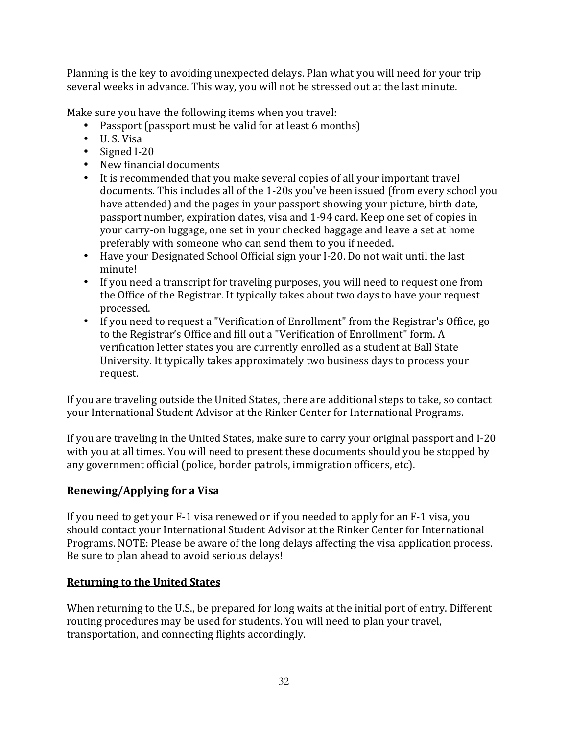Planning is the key to avoiding unexpected delays. Plan what you will need for your trip several weeks in advance. This way, you will not be stressed out at the last minute.

Make sure you have the following items when you travel:

- Passport (passport must be valid for at least 6 months)
- $\bullet$  U.S. Visa
- $\bullet$  Signed I-20
- New financial documents
- It is recommended that you make several copies of all your important travel documents. This includes all of the 1-20s you've been issued (from every school you have attended) and the pages in your passport showing your picture, birth date, passport number, expiration dates, visa and 1-94 card. Keep one set of copies in your carry-on luggage, one set in your checked baggage and leave a set at home preferably with someone who can send them to you if needed.
- Have your Designated School Official sign your I-20. Do not wait until the last minute!
- If you need a transcript for traveling purposes, you will need to request one from the Office of the Registrar. It typically takes about two days to have your request processed.
- If you need to request a "Verification of Enrollment" from the Registrar's Office, go to the Registrar's Office and fill out a "Verification of Enrollment" form. A verification letter states you are currently enrolled as a student at Ball State University. It typically takes approximately two business days to process your request.

If you are traveling outside the United States, there are additional steps to take, so contact your International Student Advisor at the Rinker Center for International Programs.

If you are traveling in the United States, make sure to carry your original passport and I-20 with you at all times. You will need to present these documents should you be stopped by any government official (police, border patrols, immigration officers, etc).

## **Renewing/Applying for a Visa**

If you need to get your  $F-1$  visa renewed or if you needed to apply for an  $F-1$  visa, you should contact your International Student Advisor at the Rinker Center for International Programs. NOTE: Please be aware of the long delays affecting the visa application process. Be sure to plan ahead to avoid serious delays!

## **Returning to the United States**

When returning to the U.S., be prepared for long waits at the initial port of entry. Different routing procedures may be used for students. You will need to plan your travel, transportation, and connecting flights accordingly.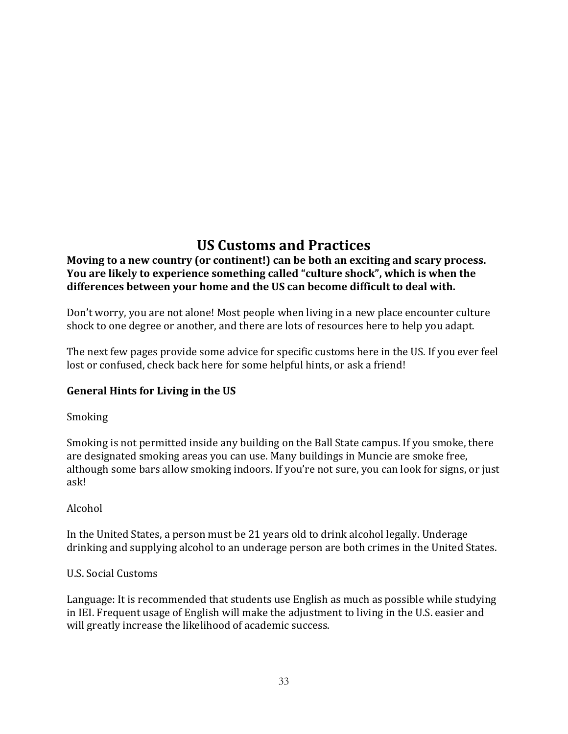# **US'Customs'and'Practices**

## Moving to a new country (or continent!) can be both an exciting and scary process. You are likely to experience something called "culture shock", which is when the **differences'between'your'home'and'the'US'can'become'difficult'to'deal'with.**

Don't worry, you are not alone! Most people when living in a new place encounter culture shock to one degree or another, and there are lots of resources here to help you adapt.

The next few pages provide some advice for specific customs here in the US. If you ever feel lost or confused, check back here for some helpful hints, or ask a friend!

## **General'Hints'for'Living'in'the'US**

### **Smoking**

Smoking is not permitted inside any building on the Ball State campus. If you smoke, there are designated smoking areas you can use. Many buildings in Muncie are smoke free, although some bars allow smoking indoors. If you're not sure, you can look for signs, or just ask!

## Alcohol!

In the United States, a person must be 21 years old to drink alcohol legally. Underage drinking and supplying alcohol to an underage person are both crimes in the United States.

### U.S. Social Customs

Language: It is recommended that students use English as much as possible while studying in IEI. Frequent usage of English will make the adjustment to living in the U.S. easier and will greatly increase the likelihood of academic success.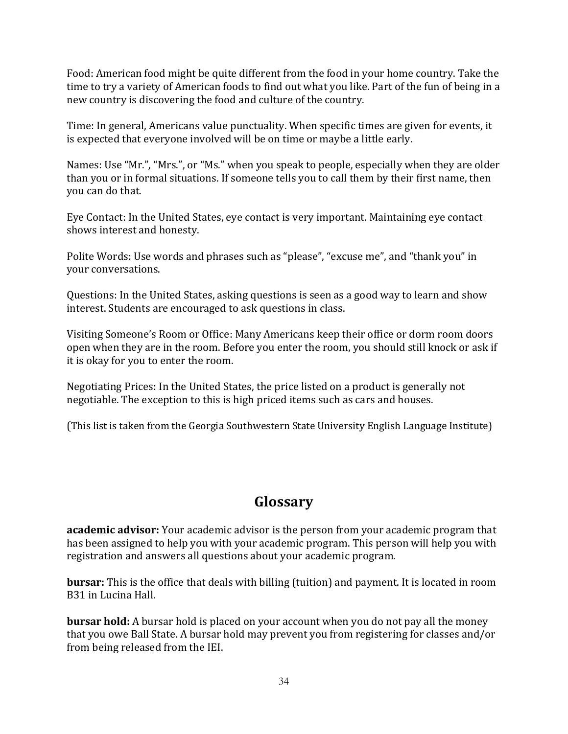Food: American food might be quite different from the food in your home country. Take the time to try a variety of American foods to find out what you like. Part of the fun of being in a new country is discovering the food and culture of the country.

Time: In general, Americans value punctuality. When specific times are given for events, it is expected that everyone involved will be on time or maybe a little early.

Names: Use "Mr.", "Mrs.", or "Ms." when you speak to people, especially when they are older than you or in formal situations. If someone tells you to call them by their first name, then you can do that.

Eye Contact: In the United States, eye contact is very important. Maintaining eye contact shows interest and honesty.

Polite Words: Use words and phrases such as "please", "excuse me", and "thank you" in your conversations.

Questions: In the United States, asking questions is seen as a good way to learn and show interest. Students are encouraged to ask questions in class.

Visiting Someone's Room or Office: Many Americans keep their office or dorm room doors open when they are in the room. Before you enter the room, you should still knock or ask if it is okay for you to enter the room.

Negotiating Prices: In the United States, the price listed on a product is generally not negotiable. The exception to this is high priced items such as cars and houses.

(This list is taken from the Georgia Southwestern State University English Language Institute)

# **Glossary'**

**academic advisor:** Your academic advisor is the person from your academic program that has been assigned to help you with your academic program. This person will help you with registration and answers all questions about your academic program.

**bursar:** This is the office that deals with billing (tuition) and payment. It is located in room B31 in Lucina Hall.

**bursar hold:** A bursar hold is placed on your account when you do not pay all the money that you owe Ball State. A bursar hold may prevent you from registering for classes and/or from being released from the IEI.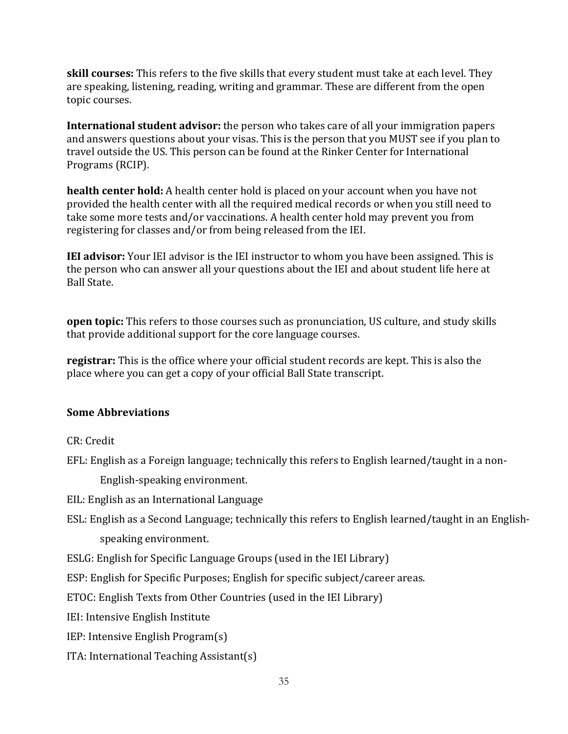**skill courses:** This refers to the five skills that every student must take at each level. They are speaking, listening, reading, writing and grammar. These are different from the open topic courses.

**International student advisor:** the person who takes care of all your immigration papers and answers questions about your visas. This is the person that you MUST see if you plan to travel outside the US. This person can be found at the Rinker Center for International Programs (RCIP).

**health center hold:** A health center hold is placed on your account when you have not provided the health center with all the required medical records or when you still need to take some more tests and/or vaccinations. A health center hold may prevent you from registering for classes and/or from being released from the IEI.

**IEI advisor:** Your IEI advisor is the IEI instructor to whom you have been assigned. This is the person who can answer all your questions about the IEI and about student life here at **Ball State.** 

**open topic:** This refers to those courses such as pronunciation, US culture, and study skills that provide additional support for the core language courses.

**registrar:** This is the office where your official student records are kept. This is also the place where you can get a copy of your official Ball State transcript.

### **Some'Abbreviations'**

CR: Credit

EFL: English as a Foreign language; technically this refers to English learned/taught in a non-

English-speaking environment.

EIL: English as an International Language

ESL: English as a Second Language; technically this refers to English learned/taught in an Englishspeaking environment.

ESLG: English for Specific Language Groups (used in the IEI Library)

ESP: English for Specific Purposes; English for specific subject/career areas.

ETOC: English Texts from Other Countries (used in the IEI Library)

IEI: Intensive English Institute

IEP: Intensive English Program(s)

ITA: International Teaching Assistant(s)